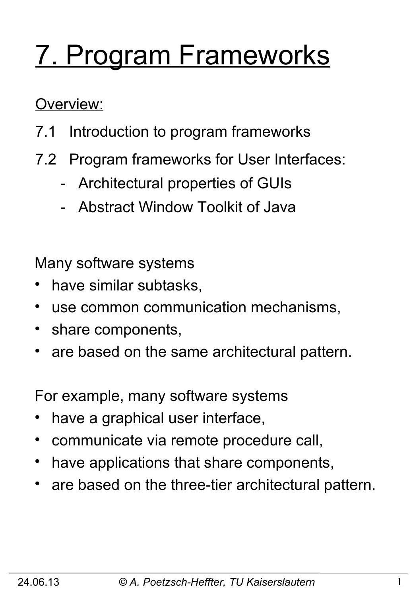# 7. Program Frameworks

Overview:

- 7.1 Introduction to program frameworks
- 7.2 Program frameworks for User Interfaces:
	- Architectural properties of GUIs
	- Abstract Window Toolkit of Java

Many software systems

- have similar subtasks,
- use common communication mechanisms,
- share components,
- are based on the same architectural pattern.

For example, many software systems

- have a graphical user interface,
- communicate via remote procedure call,
- have applications that share components,
- are based on the three-tier architectural pattern.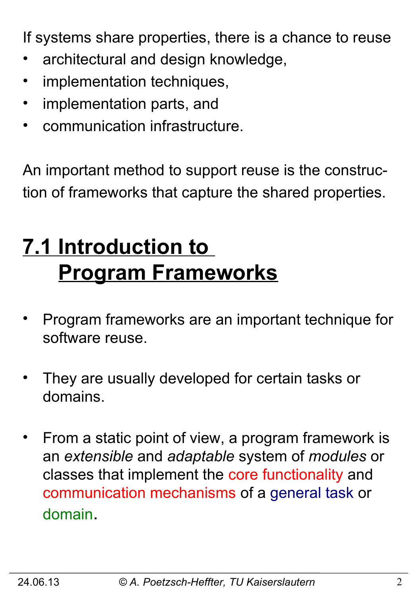If systems share properties, there is a chance to reuse

- architectural and design knowledge,
- implementation techniques,
- implementation parts, and
- communication infrastructure.

An important method to support reuse is the construction of frameworks that capture the shared properties.

# **7.1 Introduction to Program Frameworks**

- Program frameworks are an important technique for software reuse.
- They are usually developed for certain tasks or domains.
- From a static point of view, a program framework is an *extensible* and *adaptable* system of *modules* or classes that implement the core functionality and communication mechanisms of a general task or domain.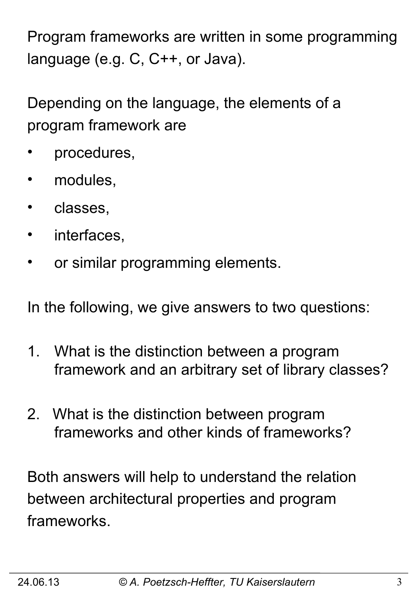Program frameworks are written in some programming language (e.g. C, C++, or Java).

Depending on the language, the elements of a program framework are

- procedures,
- modules,
- classes,
- interfaces,
- or similar programming elements.

In the following, we give answers to two questions:

- 1. What is the distinction between a program framework and an arbitrary set of library classes?
- 2. What is the distinction between program frameworks and other kinds of frameworks?

Both answers will help to understand the relation between architectural properties and program frameworks.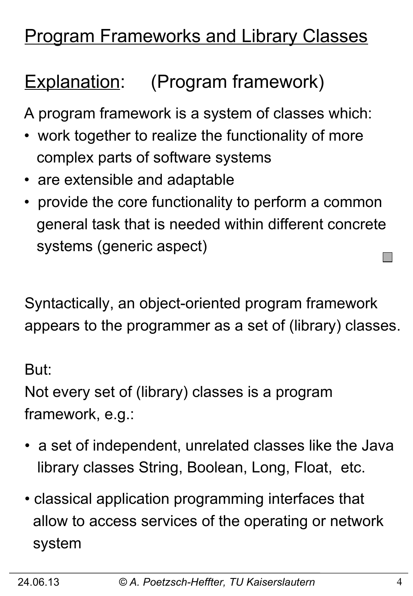# **Program Frameworks and Library Classes**

# Explanation: (Program framework)

A program framework is a system of classes which:

- work together to realize the functionality of more complex parts of software systems
- are extensible and adaptable
- provide the core functionality to perform a common general task that is needed within different concrete systems (generic aspect)

Syntactically, an object-oriented program framework appears to the programmer as a set of (library) classes.

But:

Not every set of (library) classes is a program framework, e.g.:

- a set of independent, unrelated classes like the Java library classes String, Boolean, Long, Float, etc.
- classical application programming interfaces that allow to access services of the operating or network system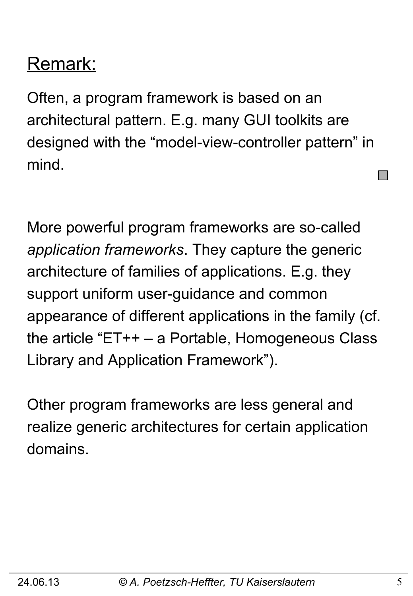# Remark:

Often, a program framework is based on an architectural pattern. E.g. many GUI toolkits are designed with the "model-view-controller pattern" in mind.

More powerful program frameworks are so-called *application frameworks*. They capture the generic architecture of families of applications. E.g. they support uniform user-guidance and common appearance of different applications in the family (cf. the article "ET++ – a Portable, Homogeneous Class Library and Application Framework").

Other program frameworks are less general and realize generic architectures for certain application domains.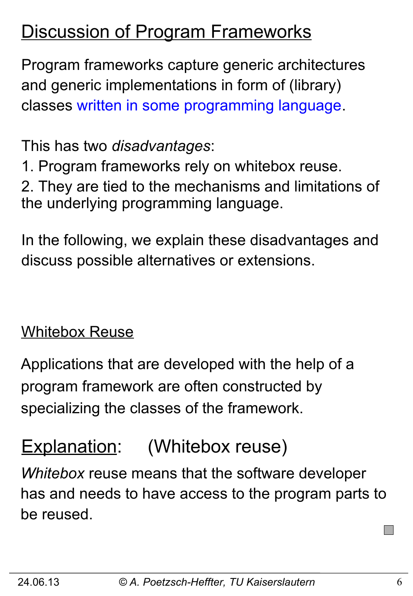### **Discussion of Program Frameworks**

Program frameworks capture generic architectures and generic implementations in form of (library) classes written in some programming language.

This has two *disadvantages*:

1. Program frameworks rely on whitebox reuse.

2. They are tied to the mechanisms and limitations of the underlying programming language.

In the following, we explain these disadvantages and discuss possible alternatives or extensions.

#### Whitebox Reuse

Applications that are developed with the help of a program framework are often constructed by specializing the classes of the framework.

## Explanation: (Whitebox reuse)

*Whitebox* reuse means that the software developer has and needs to have access to the program parts to be reused.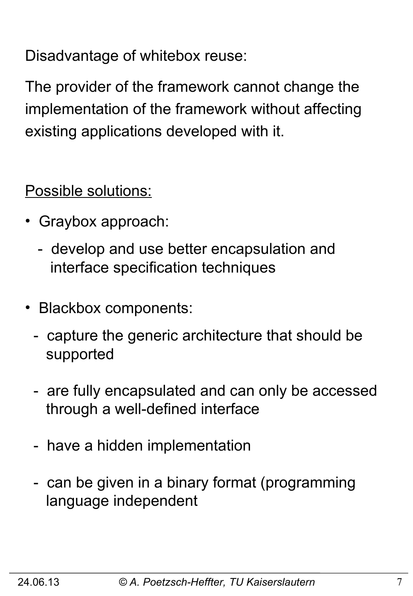Disadvantage of whitebox reuse:

The provider of the framework cannot change the implementation of the framework without affecting existing applications developed with it.

Possible solutions:

- •Graybox approach:
	- develop and use better encapsulation and interface specification techniques
- •Blackbox components:
	- capture the generic architecture that should be supported
	- are fully encapsulated and can only be accessed through a well-defined interface
	- have a hidden implementation
	- can be given in a binary format (programming language independent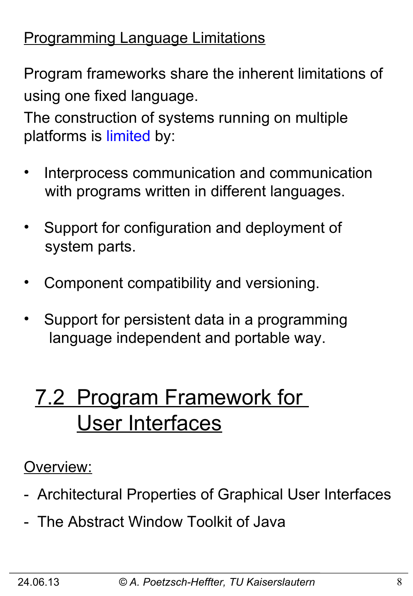### Programming Language Limitations

Program frameworks share the inherent limitations of using one fixed language.

The construction of systems running on multiple platforms is limited by:

- Interprocess communication and communication with programs written in different languages.
- Support for configuration and deployment of system parts.
- Component compatibility and versioning.
- Support for persistent data in a programming language independent and portable way.

# 7.2 Program Framework for User Interfaces

### Overview:

- Architectural Properties of Graphical User Interfaces
- The Abstract Window Toolkit of Java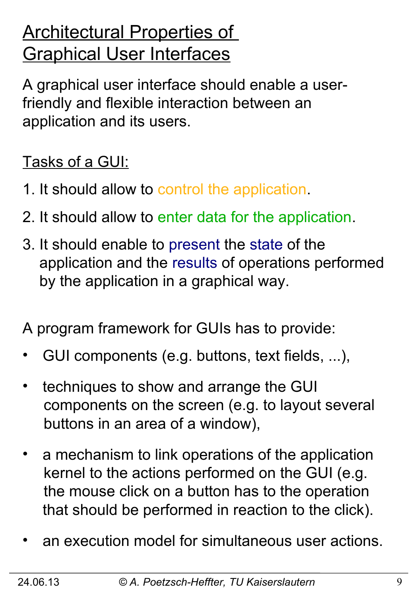# **Architectural Properties of** Graphical User Interfaces

A graphical user interface should enable a userfriendly and flexible interaction between an application and its users.

### Tasks of a GUI:

- 1. It should allow to control the application.
- 2. It should allow to enter data for the application.
- 3. It should enable to present the state of the application and the results of operations performed by the application in a graphical way.

A program framework for GUIs has to provide:

- GUI components (e.g. buttons, text fields, ...),
- techniques to show and arrange the GUI components on the screen (e.g. to layout several buttons in an area of a window),
- a mechanism to link operations of the application kernel to the actions performed on the GUI (e.g. the mouse click on a button has to the operation that should be performed in reaction to the click).
- an execution model for simultaneous user actions.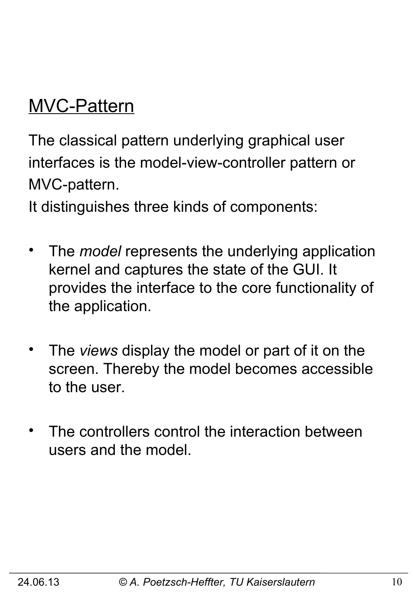# MVC-Pattern

The classical pattern underlying graphical user interfaces is the model-view-controller pattern or MVC-pattern.

It distinguishes three kinds of components:

- The *model* represents the underlying application kernel and captures the state of the GUI. It provides the interface to the core functionality of the application.
- The *views* display the model or part of it on the screen. Thereby the model becomes accessible to the user.
- The controllers control the interaction between users and the model.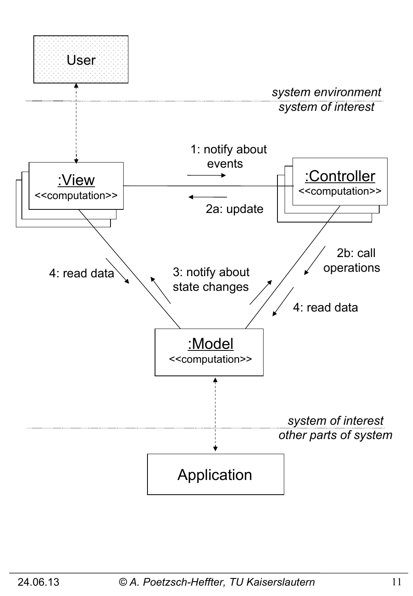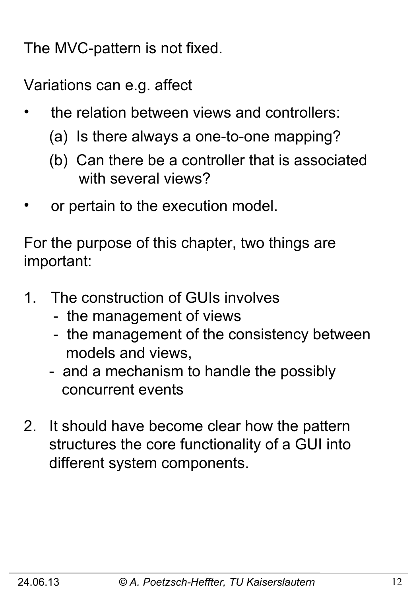The MVC-pattern is not fixed.

Variations can e.g. affect

- the relation between views and controllers:
	- (a) Is there always a one-to-one mapping?
	- (b) Can there be a controller that is associated with several views?
- or pertain to the execution model.

For the purpose of this chapter, two things are important:

- 1. The construction of GUIs involves
	- the management of views
	- the management of the consistency between models and views,
	- and a mechanism to handle the possibly concurrent events
- 2. It should have become clear how the pattern structures the core functionality of a GUI into different system components.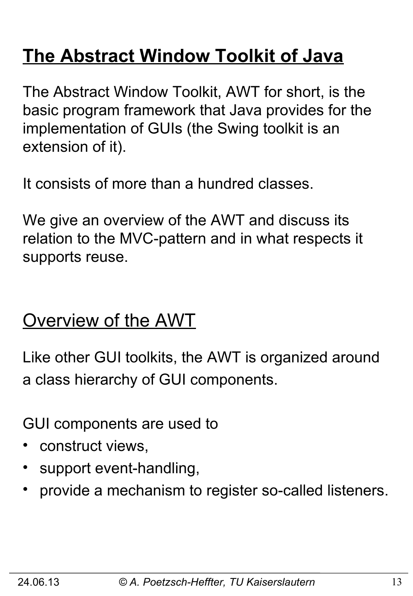# **The Abstract Window Toolkit of Java**

The Abstract Window Toolkit, AWT for short, is the basic program framework that Java provides for the implementation of GUIs (the Swing toolkit is an extension of it).

It consists of more than a hundred classes.

We give an overview of the AWT and discuss its relation to the MVC-pattern and in what respects it supports reuse.

### Overview of the AWT

Like other GUI toolkits, the AWT is organized around a class hierarchy of GUI components.

GUI components are used to

- construct views,
- support event-handling,
- provide a mechanism to register so-called listeners.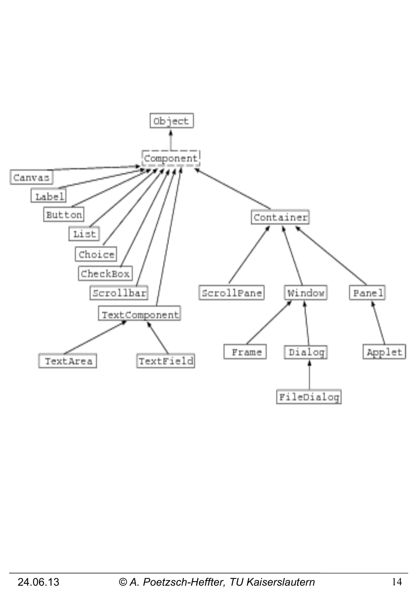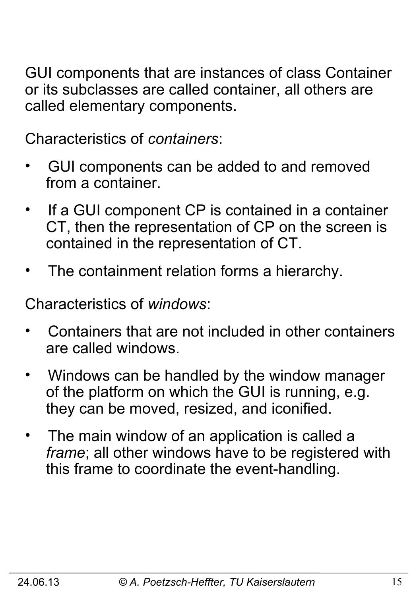GUI components that are instances of class Container or its subclasses are called container, all others are called elementary components.

Characteristics of *containers*:

- GUI components can be added to and removed from a container.
- If a GUI component CP is contained in a container CT, then the representation of CP on the screen is contained in the representation of CT.
- The containment relation forms a hierarchy.

Characteristics of *windows*:

- Containers that are not included in other containers are called windows.
- Windows can be handled by the window manager of the platform on which the GUI is running, e.g. they can be moved, resized, and iconified.
- The main window of an application is called a  *frame*; all other windows have to be registered with this frame to coordinate the event-handling.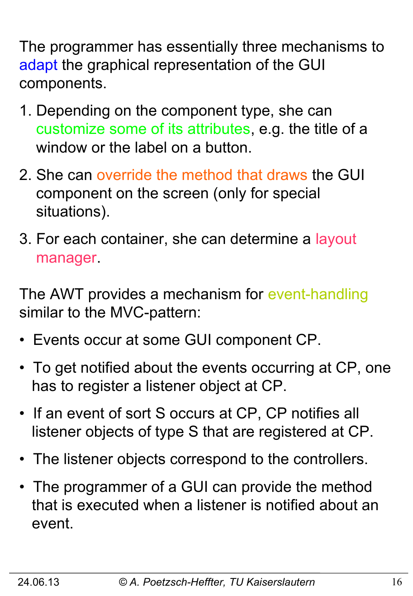The programmer has essentially three mechanisms to adapt the graphical representation of the GUI components.

- 1. Depending on the component type, she can customize some of its attributes, e.g. the title of a window or the label on a button.
- 2. She can override the method that draws the GUI component on the screen (only for special situations).
- 3. For each container, she can determine a layout manager.

The AWT provides a mechanism for event-handling similar to the MVC-pattern:

- Events occur at some GUI component CP.
- To get notified about the events occurring at CP, one has to register a listener object at CP.
- If an event of sort S occurs at CP, CP notifies all listener objects of type S that are registered at CP.
- The listener objects correspond to the controllers.
- The programmer of a GUI can provide the method that is executed when a listener is notified about an event.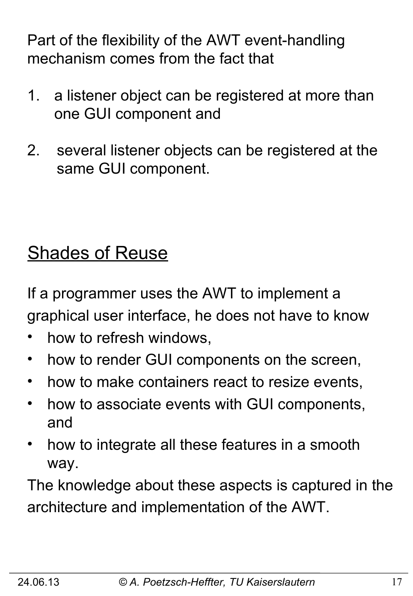Part of the flexibility of the AWT event-handling mechanism comes from the fact that

- 1. a listener object can be registered at more than one GUI component and
- 2. several listener objects can be registered at the same GUI component.

# **Shades of Reuse**

If a programmer uses the AWT to implement a graphical user interface, he does not have to know

- how to refresh windows,
- how to render GUI components on the screen,
- how to make containers react to resize events,
- how to associate events with GUI components, and
- how to integrate all these features in a smooth way.

The knowledge about these aspects is captured in the architecture and implementation of the AWT.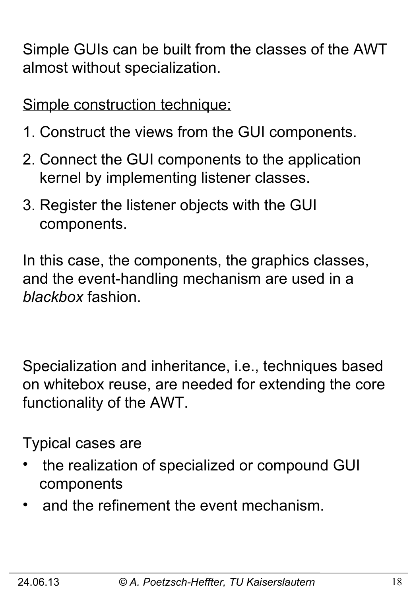Simple GUIs can be built from the classes of the AWT almost without specialization.

Simple construction technique:

- 1. Construct the views from the GUI components.
- 2. Connect the GUI components to the application kernel by implementing listener classes.
- 3. Register the listener objects with the GUI components.

In this case, the components, the graphics classes, and the event-handling mechanism are used in a *blackbox* fashion.

Specialization and inheritance, i.e., techniques based on whitebox reuse, are needed for extending the core functionality of the AWT.

Typical cases are

- the realization of specialized or compound GUI components
- and the refinement the event mechanism.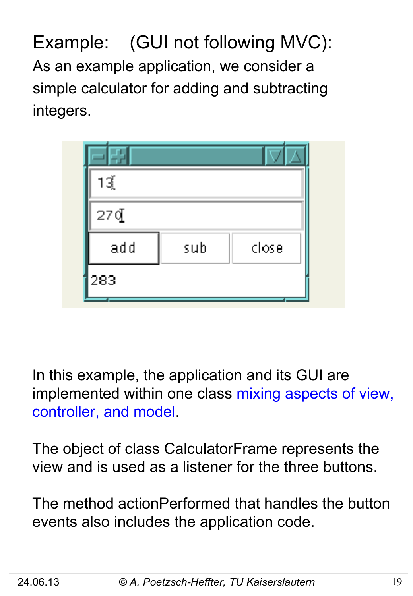**Example:** (GUI not following MVC): As an example application, we consider a simple calculator for adding and subtracting integers.

| 1ૐૂં |     |       |
|------|-----|-------|
| 27q  |     |       |
| add  | sub | close |
| 283  |     |       |

In this example, the application and its GUI are implemented within one class mixing aspects of view, controller, and model.

The object of class CalculatorFrame represents the view and is used as a listener for the three buttons.

The method actionPerformed that handles the button events also includes the application code.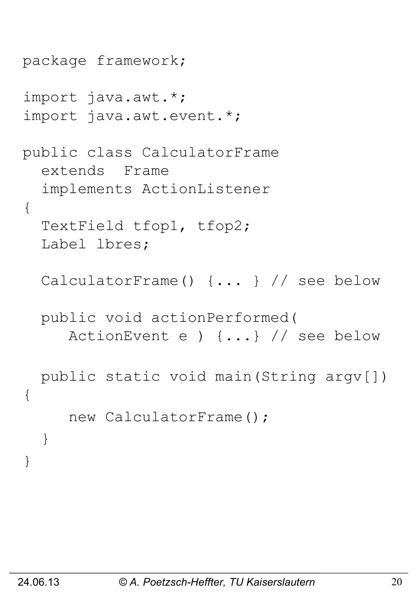```
package framework;
import java.awt.*;
import java.awt.event.*;
public class CalculatorFrame
   extends Frame 
   implements ActionListener 
{
   TextField tfop1, tfop2;
   Label lbres;
   CalculatorFrame() {... } // see below
   public void actionPerformed(
      ActionEvent e ) {...} // see below
   public static void main(String argv[]) 
{ 
      new CalculatorFrame();
   }
}
```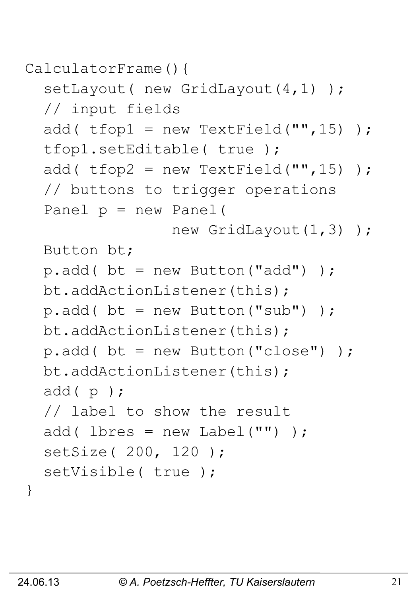```
CalculatorFrame(){
```

```
setLayout ( new GridLayout (4, 1) ) ;
 // input fields
add( t fop1 = new TextField("", 15) );
 tfop1.setEditable( true );
add( t fop2 = new TextField("", 15) );
 // buttons to trigger operations
 Panel p = new Panel( 
               new GridLayout (1,3) );
 Button bt;
p.add() bt = new Button("add"));
 bt.addActionListener(this);
p.add() bt = new Button("sub") );
 bt.addActionListener(this);
p.add() bt = new Button("close") );
 bt.addActionListener(this);
 add( p );
 // label to show the result
add( lbres = new Label("") );
 setSize( 200, 120 );
setVisible( true );
```
}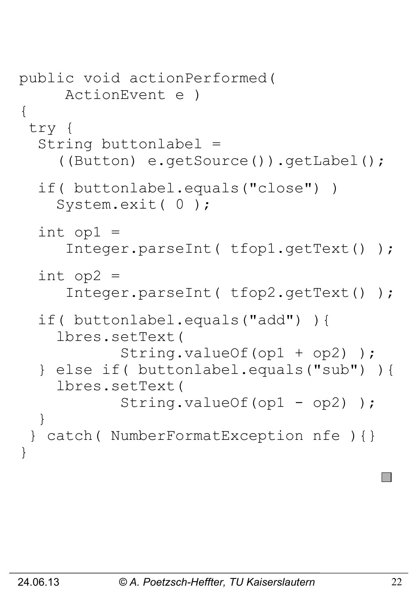```
public void actionPerformed( 
      ActionEvent e )
{
 try {
   String buttonlabel =
     ((Button) e.getSource()).getLabel();
   if( buttonlabel.equals("close") )
     System.exit( 0 );
  int op1 =
      Integer.parseInt( tfop1.getText() );
  int op2 = Integer.parseInt( tfop2.getText() );
   if( buttonlabel.equals("add") ){
     lbres.setText( 
            String.valueOf(op1 + op2) );
   } else if( buttonlabel.equals("sub") ){
     lbres.setText( 
           String.valueOf(op1 - op2));
   }
 } catch( NumberFormatException nfe ){}
}
```